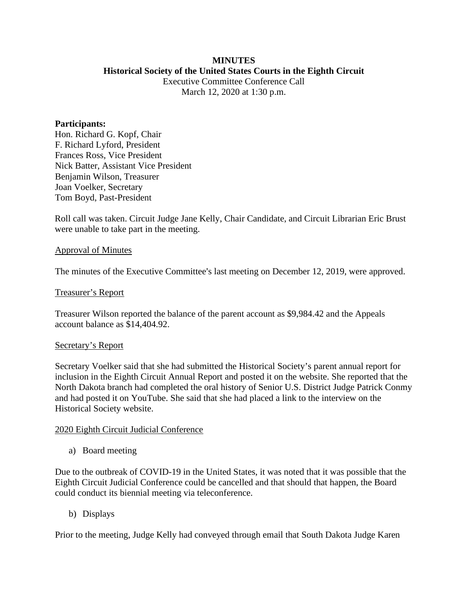## **MINUTES Historical Society of the United States Courts in the Eighth Circuit**

Executive Committee Conference Call March 12, 2020 at 1:30 p.m.

### **Participants:**

Hon. Richard G. Kopf, Chair F. Richard Lyford, President Frances Ross, Vice President Nick Batter, Assistant Vice President Benjamin Wilson, Treasurer Joan Voelker, Secretary Tom Boyd, Past-President

Roll call was taken. Circuit Judge Jane Kelly, Chair Candidate, and Circuit Librarian Eric Brust were unable to take part in the meeting.

### Approval of Minutes

The minutes of the Executive Committee's last meeting on December 12, 2019, were approved.

## Treasurer's Report

Treasurer Wilson reported the balance of the parent account as \$9,984.42 and the Appeals account balance as \$14,404.92.

## Secretary's Report

Secretary Voelker said that she had submitted the Historical Society's parent annual report for inclusion in the Eighth Circuit Annual Report and posted it on the website. She reported that the North Dakota branch had completed the oral history of Senior U.S. District Judge Patrick Conmy and had posted it on YouTube. She said that she had placed a link to the interview on the Historical Society website.

### 2020 Eighth Circuit Judicial Conference

a) Board meeting

Due to the outbreak of COVID-19 in the United States, it was noted that it was possible that the Eighth Circuit Judicial Conference could be cancelled and that should that happen, the Board could conduct its biennial meeting via teleconference.

b) Displays

Prior to the meeting, Judge Kelly had conveyed through email that South Dakota Judge Karen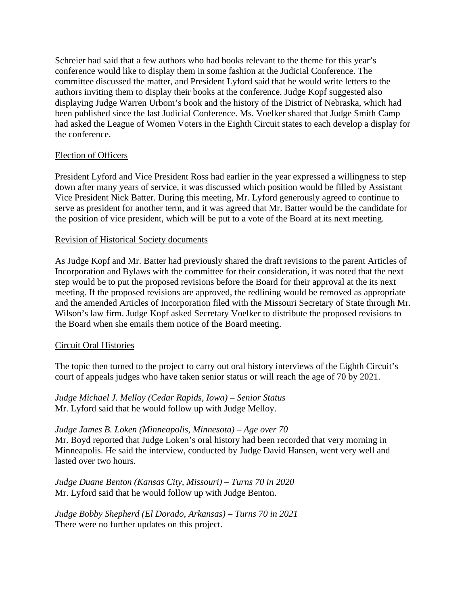Schreier had said that a few authors who had books relevant to the theme for this year's conference would like to display them in some fashion at the Judicial Conference. The committee discussed the matter, and President Lyford said that he would write letters to the authors inviting them to display their books at the conference. Judge Kopf suggested also displaying Judge Warren Urbom's book and the history of the District of Nebraska, which had been published since the last Judicial Conference. Ms. Voelker shared that Judge Smith Camp had asked the League of Women Voters in the Eighth Circuit states to each develop a display for the conference.

# Election of Officers

President Lyford and Vice President Ross had earlier in the year expressed a willingness to step down after many years of service, it was discussed which position would be filled by Assistant Vice President Nick Batter. During this meeting, Mr. Lyford generously agreed to continue to serve as president for another term, and it was agreed that Mr. Batter would be the candidate for the position of vice president, which will be put to a vote of the Board at its next meeting.

# Revision of Historical Society documents

As Judge Kopf and Mr. Batter had previously shared the draft revisions to the parent Articles of Incorporation and Bylaws with the committee for their consideration, it was noted that the next step would be to put the proposed revisions before the Board for their approval at the its next meeting. If the proposed revisions are approved, the redlining would be removed as appropriate and the amended Articles of Incorporation filed with the Missouri Secretary of State through Mr. Wilson's law firm. Judge Kopf asked Secretary Voelker to distribute the proposed revisions to the Board when she emails them notice of the Board meeting.

# Circuit Oral Histories

The topic then turned to the project to carry out oral history interviews of the Eighth Circuit's court of appeals judges who have taken senior status or will reach the age of 70 by 2021.

*Judge Michael J. Melloy (Cedar Rapids, Iowa) – Senior Status* Mr. Lyford said that he would follow up with Judge Melloy.

*Judge James B. Loken (Minneapolis, Minnesota) – Age over 70* Mr. Boyd reported that Judge Loken's oral history had been recorded that very morning in Minneapolis. He said the interview, conducted by Judge David Hansen, went very well and lasted over two hours.

*Judge Duane Benton (Kansas City, Missouri) – Turns 70 in 2020* Mr. Lyford said that he would follow up with Judge Benton.

*Judge Bobby Shepherd (El Dorado, Arkansas) – Turns 70 in 2021* There were no further updates on this project.